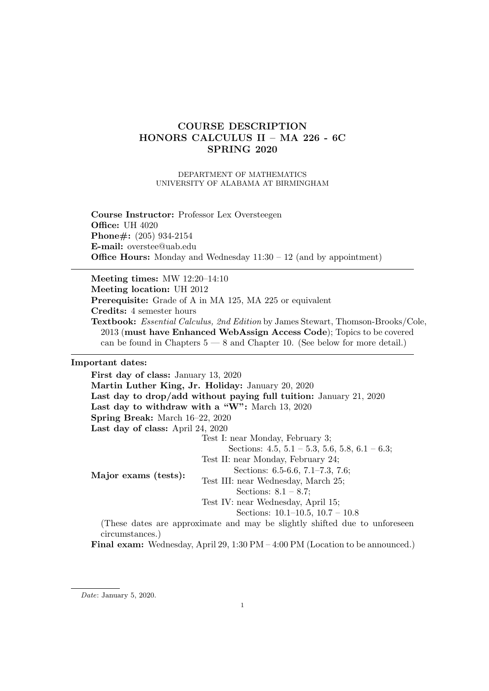# COURSE DESCRIPTION HONORS CALCULUS II – MA 226 - 6C SPRING 2020

DEPARTMENT OF MATHEMATICS UNIVERSITY OF ALABAMA AT BIRMINGHAM

Course Instructor: Professor Lex Oversteegen **Office: UH 4020** Phone#: (205) 934-2154 E-mail: overstee@uab.edu **Office Hours:** Monday and Wednesday  $11:30 - 12$  (and by appointment)

Meeting times: MW 12:20–14:10 Meeting location: UH 2012 Prerequisite: Grade of A in MA 125, MA 225 or equivalent Credits: 4 semester hours Textbook: Essential Calculus, 2nd Edition by James Stewart, Thomson-Brooks/Cole, 2013 (must have Enhanced WebAssign Access Code); Topics to be covered can be found in Chapters  $5 - 8$  and Chapter 10. (See below for more detail.)

## Important dates:

First day of class: January 13, 2020 Martin Luther King, Jr. Holiday: January 20, 2020 Last day to drop/add without paying full tuition: January 21, 2020 Last day to withdraw with a "W": March 13, 2020 Spring Break: March 16–22, 2020 Last day of class: April 24, 2020 Major exams (tests): Test I: near Monday, February 3; Sections:  $4.5, 5.1 - 5.3, 5.6, 5.8, 6.1 - 6.3;$ Test II: near Monday, February 24; Sections: 6.5-6.6, 7.1–7.3, 7.6; Test III: near Wednesday, March 25; Sections: 8.1 – 8.7; Test IV: near Wednesday, April 15; Sections: 10.1–10.5, 10.7 – 10.8 (These dates are approximate and may be slightly shifted due to unforeseen circumstances.)

Final exam: Wednesday, April 29, 1:30 PM – 4:00 PM (Location to be announced.)

Date: January 5, 2020.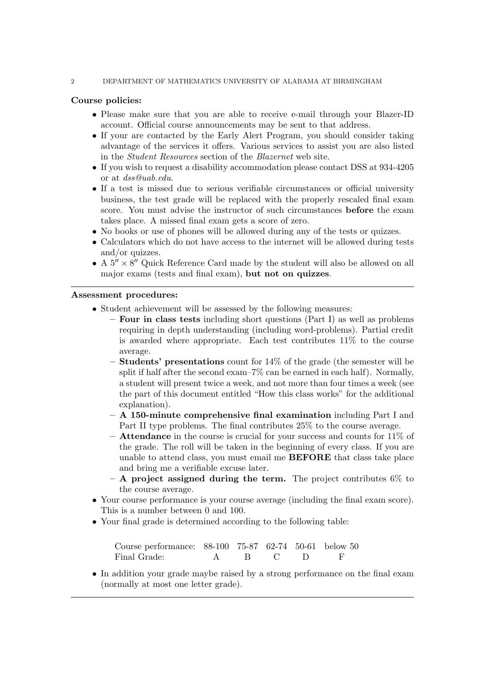## 2 DEPARTMENT OF MATHEMATICS UNIVERSITY OF ALABAMA AT BIRMINGHAM

# Course policies:

- Please make sure that you are able to receive e-mail through your Blazer-ID account. Official course announcements may be sent to that address.
- If your are contacted by the Early Alert Program, you should consider taking advantage of the services it offers. Various services to assist you are also listed in the Student Resources section of the Blazernet web site.
- If you wish to request a disability accommodation please contact DSS at 934-4205 or at dss@uab.edu.
- If a test is missed due to serious verifiable circumstances or official university business, the test grade will be replaced with the properly rescaled final exam score. You must advise the instructor of such circumstances before the exam takes place. A missed final exam gets a score of zero.
- No books or use of phones will be allowed during any of the tests or quizzes.
- Calculators which do not have access to the internet will be allowed during tests and/or quizzes.
- A  $5'' \times 8''$  Quick Reference Card made by the student will also be allowed on all major exams (tests and final exam), but not on quizzes.

## Assessment procedures:

- Student achievement will be assessed by the following measures:
	- $-$  **Four in class tests** including short questions (Part I) as well as problems requiring in depth understanding (including word-problems). Partial credit is awarded where appropriate. Each test contributes 11% to the course average.
	- $-$  **Students' presentations** count for  $14\%$  of the grade (the semester will be split if half after the second exam–7% can be earned in each half). Normally, a student will present twice a week, and not more than four times a week (see the part of this document entitled "How this class works" for the additional explanation).
	- $-$  A 150-minute comprehensive final examination including Part I and Part II type problems. The final contributes 25% to the course average.
	- $-$  Attendance in the course is crucial for your success and counts for 11% of the grade. The roll will be taken in the beginning of every class. If you are unable to attend class, you must email me BEFORE that class take place and bring me a verifiable excuse later.
	- $-$  A project assigned during the term. The project contributes 6\% to the course average.
- Your course performance is your course average (including the final exam score). This is a number between 0 and 100.
- Your final grade is determined according to the following table:

| Course performance: 88-100 75-87 62-74 50-61 below 50 |  |           |  |
|-------------------------------------------------------|--|-----------|--|
| Final Grade:                                          |  | A R C D F |  |

• In addition your grade maybe raised by a strong performance on the final exam (normally at most one letter grade).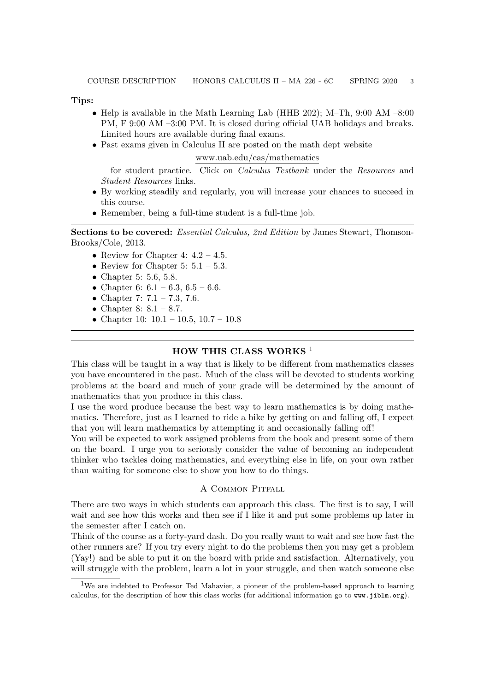Tips:

- Help is available in the Math Learning Lab (HHB 202); M-Th, 9:00 AM  $-8:00$ PM, F 9:00 AM –3:00 PM. It is closed during official UAB holidays and breaks. Limited hours are available during final exams.
- Past exams given in Calculus II are posted on the math dept website

www.uab.edu/cas/mathematics

for student practice. Click on Calculus Testbank under the Resources and Student Resources links.

- By working steadily and regularly, you will increase your chances to succeed in this course.
- Remember, being a full-time student is a full-time job.

Sections to be covered: Essential Calculus, 2nd Edition by James Stewart, Thomson-Brooks/Cole, 2013.

- Review for Chapter 4:  $4.2 4.5$ .
- Review for Chapter 5:  $5.1 5.3$ .
- Chapter 5: 5.6, 5.8.
- Chapter 6:  $6.1 6.3$ ,  $6.5 6.6$ .
- Chapter 7:  $7.1 7.3$ , 7.6.
- Chapter 8:  $8.1 8.7$ .
- Chapter 10:  $10.1 10.5$ ,  $10.7 10.8$

## HOW THIS CLASS WORKS<sup>1</sup>

This class will be taught in a way that is likely to be different from mathematics classes you have encountered in the past. Much of the class will be devoted to students working problems at the board and much of your grade will be determined by the amount of mathematics that you produce in this class.

I use the word produce because the best way to learn mathematics is by doing mathematics. Therefore, just as I learned to ride a bike by getting on and falling off, I expect that you will learn mathematics by attempting it and occasionally falling off!

You will be expected to work assigned problems from the book and present some of them on the board. I urge you to seriously consider the value of becoming an independent thinker who tackles doing mathematics, and everything else in life, on your own rather than waiting for someone else to show you how to do things.

# A Common Pitfall

There are two ways in which students can approach this class. The first is to say, I will wait and see how this works and then see if I like it and put some problems up later in the semester after I catch on.

Think of the course as a forty-yard dash. Do you really want to wait and see how fast the other runners are? If you try every night to do the problems then you may get a problem (Yay!) and be able to put it on the board with pride and satisfaction. Alternatively, you will struggle with the problem, learn a lot in your struggle, and then watch someone else

<sup>&</sup>lt;sup>1</sup>We are indebted to Professor Ted Mahavier, a pioneer of the problem-based approach to learning calculus, for the description of how this class works (for additional information go to www.jiblm.org).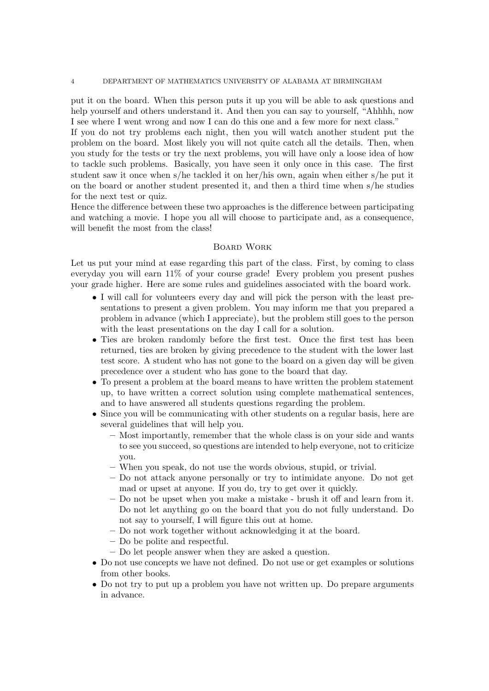put it on the board. When this person puts it up you will be able to ask questions and help yourself and others understand it. And then you can say to yourself, "Ahhhh, now I see where I went wrong and now I can do this one and a few more for next class."

If you do not try problems each night, then you will watch another student put the problem on the board. Most likely you will not quite catch all the details. Then, when you study for the tests or try the next problems, you will have only a loose idea of how to tackle such problems. Basically, you have seen it only once in this case. The first student saw it once when s/he tackled it on her/his own, again when either s/he put it on the board or another student presented it, and then a third time when s/he studies for the next test or quiz.

Hence the difference between these two approaches is the difference between participating and watching a movie. I hope you all will choose to participate and, as a consequence, will benefit the most from the class!

# Board Work

Let us put your mind at ease regarding this part of the class. First, by coming to class everyday you will earn 11% of your course grade! Every problem you present pushes your grade higher. Here are some rules and guidelines associated with the board work.

- I will call for volunteers every day and will pick the person with the least presentations to present a given problem. You may inform me that you prepared a problem in advance (which I appreciate), but the problem still goes to the person with the least presentations on the day I call for a solution.
- Ties are broken randomly before the first test. Once the first test has been returned, ties are broken by giving precedence to the student with the lower last test score. A student who has not gone to the board on a given day will be given precedence over a student who has gone to the board that day.
- To present a problem at the board means to have written the problem statement up, to have written a correct solution using complete mathematical sentences, and to have answered all students questions regarding the problem.
- Since you will be communicating with other students on a regular basis, here are several guidelines that will help you.
	- Most importantly, remember that the whole class is on your side and wants to see you succeed, so questions are intended to help everyone, not to criticize you.
	- When you speak, do not use the words obvious, stupid, or trivial.
	- Do not attack anyone personally or try to intimidate anyone. Do not get mad or upset at anyone. If you do, try to get over it quickly.
	- Do not be upset when you make a mistake brush it off and learn from it. Do not let anything go on the board that you do not fully understand. Do not say to yourself, I will figure this out at home.
	- Do not work together without acknowledging it at the board.
	- Do be polite and respectful.
	- Do let people answer when they are asked a question.
- Do not use concepts we have not defined. Do not use or get examples or solutions from other books.
- Do not try to put up a problem you have not written up. Do prepare arguments in advance.